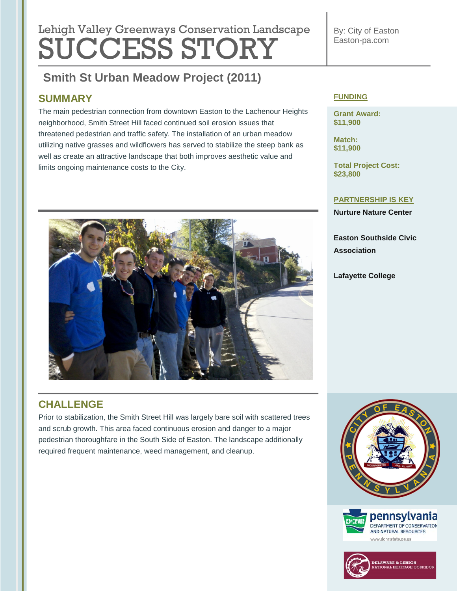# **Lebish Velley Que environmental regulation Lengtheres** Lehigh Valley Greenways Conservation Landscape SUCCESS STORY

### **Smith St Urban Meadow Project (2011) Smith St Urban Meadow Project (2011)**

## **SUMMARY**

The main pedestrian connection from downtown Easton to the Lachenour Heights neighborhood, Smith Street Hill faced continued soil erosion issues that threatened pedestrian and traffic safety. The installation of an urban meadow utilizing native grasses and wildflowers has served to stabilize the steep bank as well as create an attractive landscape that both improves aesthetic value and limits ongoing maintenance costs to the City.



## **CHALLENGE**

Prior to stabilization, the Smith Street Hill was largely bare soil with scattered trees and scrub growth. This area faced continuous erosion and danger to a major pedestrian thoroughfare in the South Side of Easton. The landscape additionally required frequent maintenance, weed management, and cleanup.

By: City of Easton Easton-pa.com

### **FUNDING**

**Grant Award: \$11,900**

**Match: \$11,900**

**Total Project Cost: \$23,800**

#### **PARTNERSHIP IS KEY**

**Nurture Nature Center**

**Easton Southside Civic Association**

**Lafayette College**